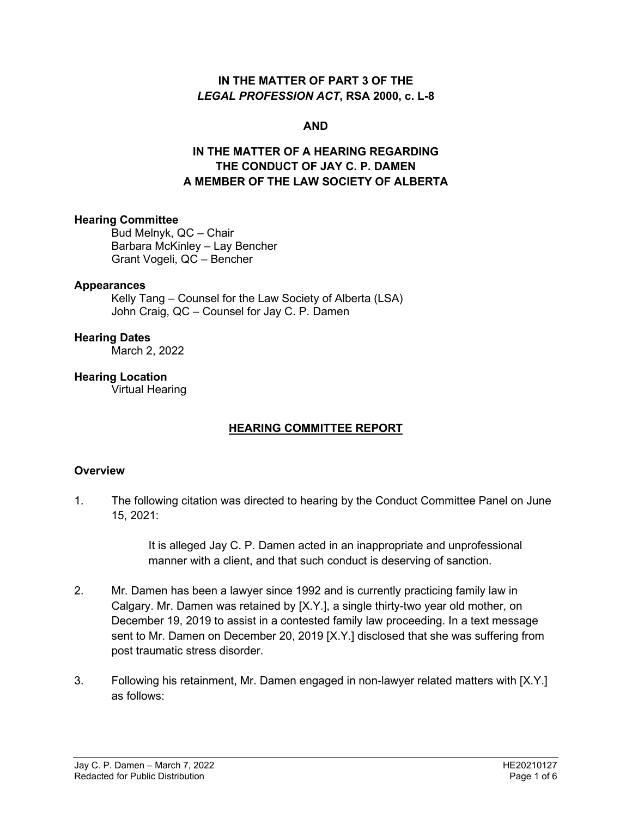### **IN THE MATTER OF PART 3 OF THE**  *LEGAL PROFESSION ACT***, RSA 2000, c. L-8**

### **AND**

# **IN THE MATTER OF A HEARING REGARDING THE CONDUCT OF JAY C. P. DAMEN A MEMBER OF THE LAW SOCIETY OF ALBERTA**

### **Hearing Committee**

Bud Melnyk, QC – Chair Barbara McKinley – Lay Bencher Grant Vogeli, QC – Bencher

### **Appearances**

Kelly Tang – Counsel for the Law Society of Alberta (LSA) John Craig, QC – Counsel for Jay C. P. Damen

### **Hearing Dates**

March 2, 2022

### **Hearing Location**

Virtual Hearing

### **HEARING COMMITTEE REPORT**

### **Overview**

1. The following citation was directed to hearing by the Conduct Committee Panel on June 15, 2021:

> It is alleged Jay C. P. Damen acted in an inappropriate and unprofessional manner with a client, and that such conduct is deserving of sanction.

- 2. Mr. Damen has been a lawyer since 1992 and is currently practicing family law in Calgary. Mr. Damen was retained by [X.Y.], a single thirty-two year old mother, on December 19, 2019 to assist in a contested family law proceeding. In a text message sent to Mr. Damen on December 20, 2019 [X.Y.] disclosed that she was suffering from post traumatic stress disorder.
- 3. Following his retainment, Mr. Damen engaged in non-lawyer related matters with [X.Y.] as follows: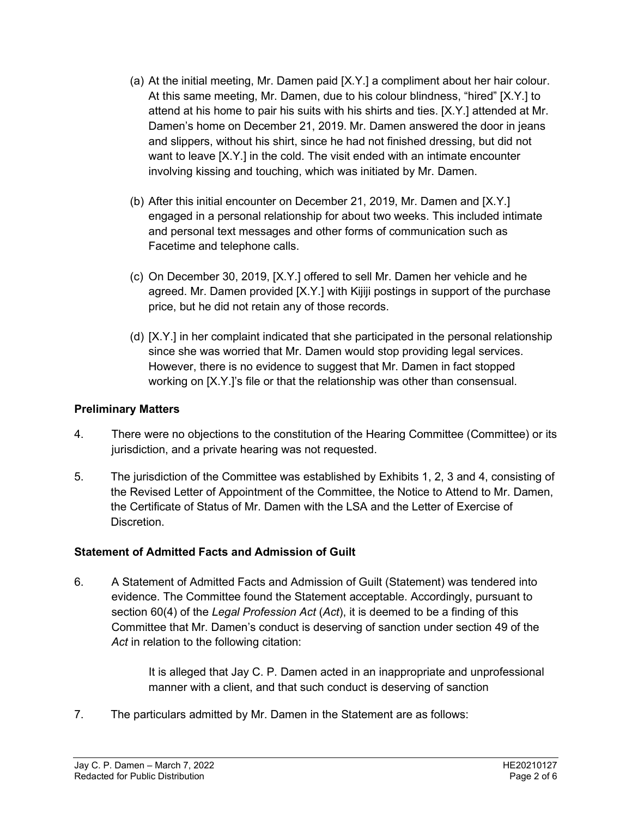- (a) At the initial meeting, Mr. Damen paid [X.Y.] a compliment about her hair colour. At this same meeting, Mr. Damen, due to his colour blindness, "hired" [X.Y.] to attend at his home to pair his suits with his shirts and ties. [X.Y.] attended at Mr. Damen's home on December 21, 2019. Mr. Damen answered the door in jeans and slippers, without his shirt, since he had not finished dressing, but did not want to leave [X.Y.] in the cold. The visit ended with an intimate encounter involving kissing and touching, which was initiated by Mr. Damen.
- (b) After this initial encounter on December 21, 2019, Mr. Damen and [X.Y.] engaged in a personal relationship for about two weeks. This included intimate and personal text messages and other forms of communication such as Facetime and telephone calls.
- (c) On December 30, 2019, [X.Y.] offered to sell Mr. Damen her vehicle and he agreed. Mr. Damen provided [X.Y.] with Kijiji postings in support of the purchase price, but he did not retain any of those records.
- (d) [X.Y.] in her complaint indicated that she participated in the personal relationship since she was worried that Mr. Damen would stop providing legal services. However, there is no evidence to suggest that Mr. Damen in fact stopped working on [X.Y.]'s file or that the relationship was other than consensual.

## **Preliminary Matters**

- 4. There were no objections to the constitution of the Hearing Committee (Committee) or its jurisdiction, and a private hearing was not requested.
- 5. The jurisdiction of the Committee was established by Exhibits 1, 2, 3 and 4, consisting of the Revised Letter of Appointment of the Committee, the Notice to Attend to Mr. Damen, the Certificate of Status of Mr. Damen with the LSA and the Letter of Exercise of Discretion.

# **Statement of Admitted Facts and Admission of Guilt**

6. A Statement of Admitted Facts and Admission of Guilt (Statement) was tendered into evidence. The Committee found the Statement acceptable. Accordingly, pursuant to section 60(4) of the *Legal Profession Act* (*Act*), it is deemed to be a finding of this Committee that Mr. Damen's conduct is deserving of sanction under section 49 of the *Act* in relation to the following citation:

> It is alleged that Jay C. P. Damen acted in an inappropriate and unprofessional manner with a client, and that such conduct is deserving of sanction

7. The particulars admitted by Mr. Damen in the Statement are as follows: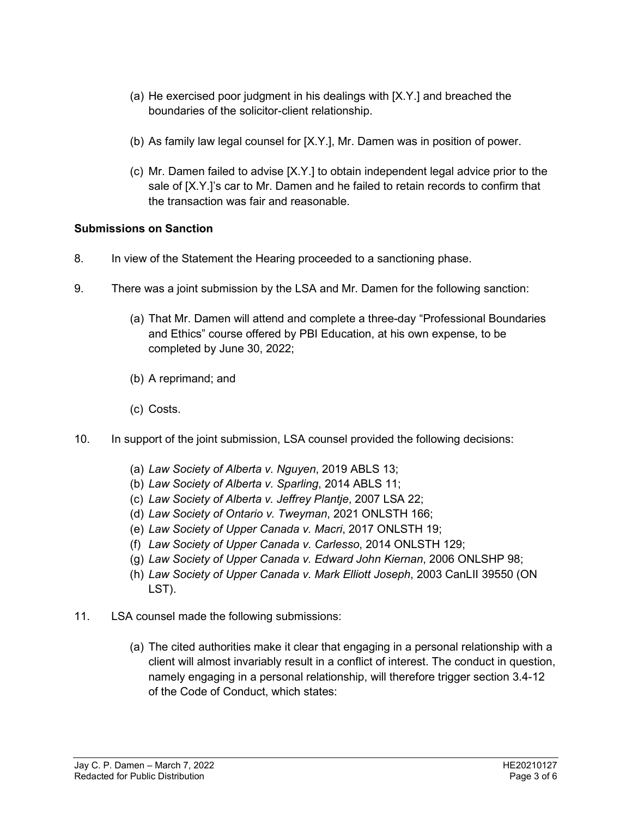- (a) He exercised poor judgment in his dealings with [X.Y.] and breached the boundaries of the solicitor-client relationship.
- (b) As family law legal counsel for [X.Y.], Mr. Damen was in position of power.
- (c) Mr. Damen failed to advise [X.Y.] to obtain independent legal advice prior to the sale of [X.Y.]'s car to Mr. Damen and he failed to retain records to confirm that the transaction was fair and reasonable.

## **Submissions on Sanction**

- 8. In view of the Statement the Hearing proceeded to a sanctioning phase.
- 9. There was a joint submission by the LSA and Mr. Damen for the following sanction:
	- (a) That Mr. Damen will attend and complete a three-day "Professional Boundaries and Ethics" course offered by PBI Education, at his own expense, to be completed by June 30, 2022;
	- (b) A reprimand; and
	- (c) Costs.
- 10. In support of the joint submission, LSA counsel provided the following decisions:
	- (a) *Law Society of Alberta v. Nguyen*, 2019 ABLS 13;
	- (b) *Law Society of Alberta v. Sparling*, 2014 ABLS 11;
	- (c) *Law Society of Alberta v. Jeffrey Plantje*, 2007 LSA 22;
	- (d) *Law Society of Ontario v. Tweyman*, 2021 ONLSTH 166;
	- (e) *Law Society of Upper Canada v. Macri*, 2017 ONLSTH 19;
	- (f) *Law Society of Upper Canada v. Carlesso*, 2014 ONLSTH 129;
	- (g) *Law Society of Upper Canada v. Edward John Kiernan*, 2006 ONLSHP 98;
	- (h) *Law Society of Upper Canada v. Mark Elliott Joseph*, 2003 CanLII 39550 (ON LST).
- 11. LSA counsel made the following submissions:
	- (a) The cited authorities make it clear that engaging in a personal relationship with a client will almost invariably result in a conflict of interest. The conduct in question, namely engaging in a personal relationship, will therefore trigger section 3.4-12 of the Code of Conduct, which states: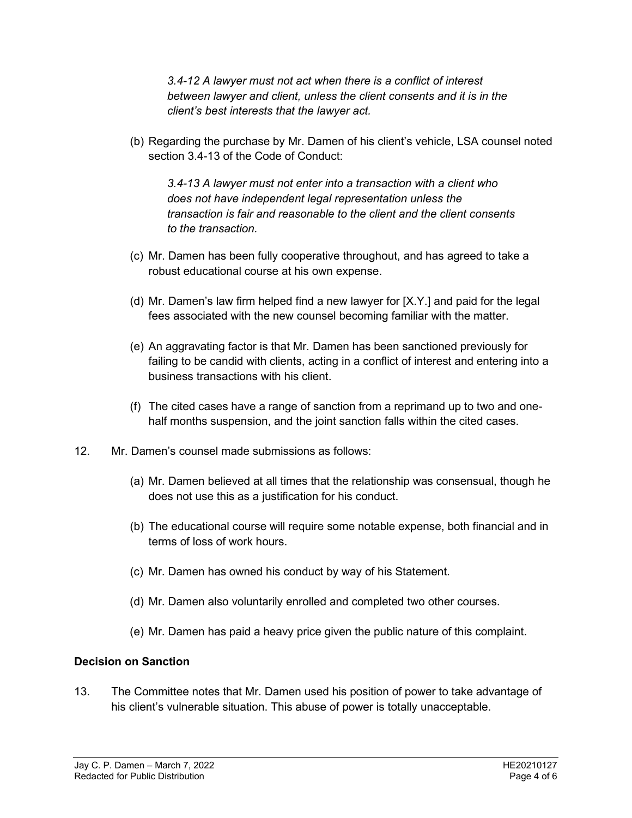*3.4-12 A lawyer must not act when there is a conflict of interest between lawyer and client, unless the client consents and it is in the client's best interests that the lawyer act.*

(b) Regarding the purchase by Mr. Damen of his client's vehicle, LSA counsel noted section 3.4-13 of the Code of Conduct:

*3.4-13 A lawyer must not enter into a transaction with a client who does not have independent legal representation unless the transaction is fair and reasonable to the client and the client consents to the transaction.*

- (c) Mr. Damen has been fully cooperative throughout, and has agreed to take a robust educational course at his own expense.
- (d) Mr. Damen's law firm helped find a new lawyer for [X.Y.] and paid for the legal fees associated with the new counsel becoming familiar with the matter.
- (e) An aggravating factor is that Mr. Damen has been sanctioned previously for failing to be candid with clients, acting in a conflict of interest and entering into a business transactions with his client.
- (f) The cited cases have a range of sanction from a reprimand up to two and onehalf months suspension, and the joint sanction falls within the cited cases.
- 12. Mr. Damen's counsel made submissions as follows:
	- (a) Mr. Damen believed at all times that the relationship was consensual, though he does not use this as a justification for his conduct.
	- (b) The educational course will require some notable expense, both financial and in terms of loss of work hours.
	- (c) Mr. Damen has owned his conduct by way of his Statement.
	- (d) Mr. Damen also voluntarily enrolled and completed two other courses.
	- (e) Mr. Damen has paid a heavy price given the public nature of this complaint.

### **Decision on Sanction**

13. The Committee notes that Mr. Damen used his position of power to take advantage of his client's vulnerable situation. This abuse of power is totally unacceptable.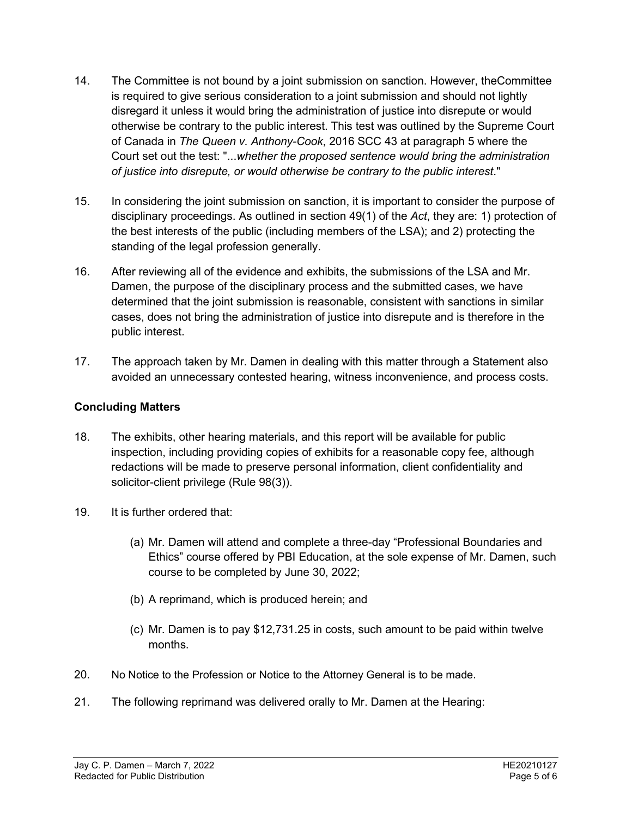- 14. The Committee is not bound by a joint submission on sanction. However, theCommittee is required to give serious consideration to a joint submission and should not lightly disregard it unless it would bring the administration of justice into disrepute or would otherwise be contrary to the public interest. This test was outlined by the Supreme Court of Canada in *The Queen v. Anthony-Cook*, 2016 SCC 43 at paragraph 5 where the Court set out the test: "...*whether the proposed sentence would bring the administration of justice into disrepute, or would otherwise be contrary to the public interest*."
- 15. In considering the joint submission on sanction, it is important to consider the purpose of disciplinary proceedings. As outlined in section 49(1) of the *Act*, they are: 1) protection of the best interests of the public (including members of the LSA); and 2) protecting the standing of the legal profession generally.
- 16. After reviewing all of the evidence and exhibits, the submissions of the LSA and Mr. Damen, the purpose of the disciplinary process and the submitted cases, we have determined that the joint submission is reasonable, consistent with sanctions in similar cases, does not bring the administration of justice into disrepute and is therefore in the public interest.
- 17. The approach taken by Mr. Damen in dealing with this matter through a Statement also avoided an unnecessary contested hearing, witness inconvenience, and process costs.

# **Concluding Matters**

- 18. The exhibits, other hearing materials, and this report will be available for public inspection, including providing copies of exhibits for a reasonable copy fee, although redactions will be made to preserve personal information, client confidentiality and solicitor-client privilege (Rule 98(3)).
- 19. It is further ordered that:
	- (a) Mr. Damen will attend and complete a three-day "Professional Boundaries and Ethics" course offered by PBI Education, at the sole expense of Mr. Damen, such course to be completed by June 30, 2022;
	- (b) A reprimand, which is produced herein; and
	- (c) Mr. Damen is to pay \$12,731.25 in costs, such amount to be paid within twelve months.
- 20. No Notice to the Profession or Notice to the Attorney General is to be made.
- 21. The following reprimand was delivered orally to Mr. Damen at the Hearing: